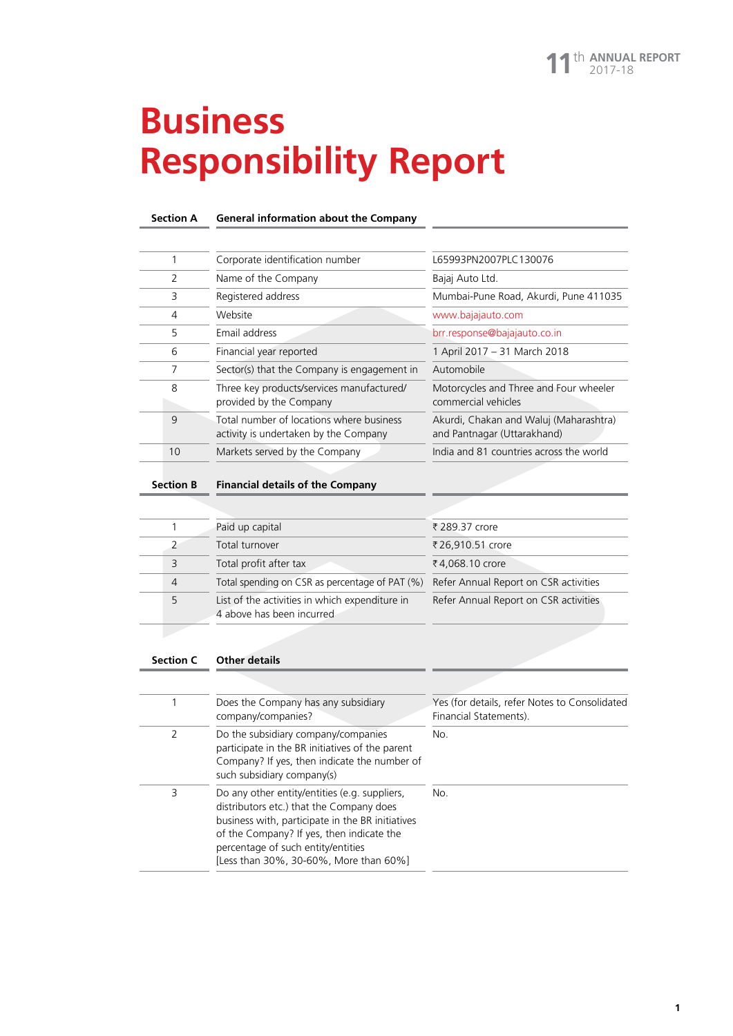**1**

# **Business Responsibility Report**

#### **Section A General information about the Company**

|               | Corporate identification number                                                   | L65993PN2007PLC130076                                                 |
|---------------|-----------------------------------------------------------------------------------|-----------------------------------------------------------------------|
| $\mathcal{P}$ | Name of the Company                                                               | Bajaj Auto Ltd.                                                       |
| 3             | Registered address                                                                | Mumbai-Pune Road, Akurdi, Pune 411035                                 |
| 4             | Website                                                                           | www.bajajauto.com                                                     |
| 5             | Email address                                                                     | brr.response@bajajauto.co.in                                          |
| 6             | Financial year reported                                                           | 1 April 2017 - 31 March 2018                                          |
|               | Sector(s) that the Company is engagement in                                       | Automobile                                                            |
| 8             | Three key products/services manufactured/<br>provided by the Company              | Motorcycles and Three and Four wheeler<br>commercial vehicles         |
| $\mathsf{Q}$  | Total number of locations where business<br>activity is undertaken by the Company | Akurdi, Chakan and Waluj (Maharashtra)<br>and Pantnagar (Uttarakhand) |
| 10            | Markets served by the Company                                                     | India and 81 countries across the world                               |

#### **Section B Financial details of the Company**

|                | Paid up capital                                                             | ₹ 289.37 crore                        |
|----------------|-----------------------------------------------------------------------------|---------------------------------------|
| 2              | Total turnover                                                              | ₹26,910.51 crore                      |
| 3              | Total profit after tax                                                      | ₹4,068.10 crore                       |
| $\overline{4}$ | Total spending on CSR as percentage of PAT (%)                              | Refer Annual Report on CSR activities |
| 5              | List of the activities in which expenditure in<br>4 above has been incurred | Refer Annual Report on CSR activities |
|                |                                                                             |                                       |

#### **Section C Other details**

|   | Does the Company has any subsidiary<br>company/companies?                                                                                                                                                                                                                  | Yes (for details, refer Notes to Consolidated<br>Financial Statements). |
|---|----------------------------------------------------------------------------------------------------------------------------------------------------------------------------------------------------------------------------------------------------------------------------|-------------------------------------------------------------------------|
| 2 | Do the subsidiary company/companies<br>participate in the BR initiatives of the parent<br>Company? If yes, then indicate the number of<br>such subsidiary company(s)                                                                                                       | No.                                                                     |
| 3 | Do any other entity/entities (e.g. suppliers,<br>distributors etc.) that the Company does<br>business with, participate in the BR initiatives<br>of the Company? If yes, then indicate the<br>percentage of such entity/entities<br>[Less than 30%, 30-60%, More than 60%] | No.                                                                     |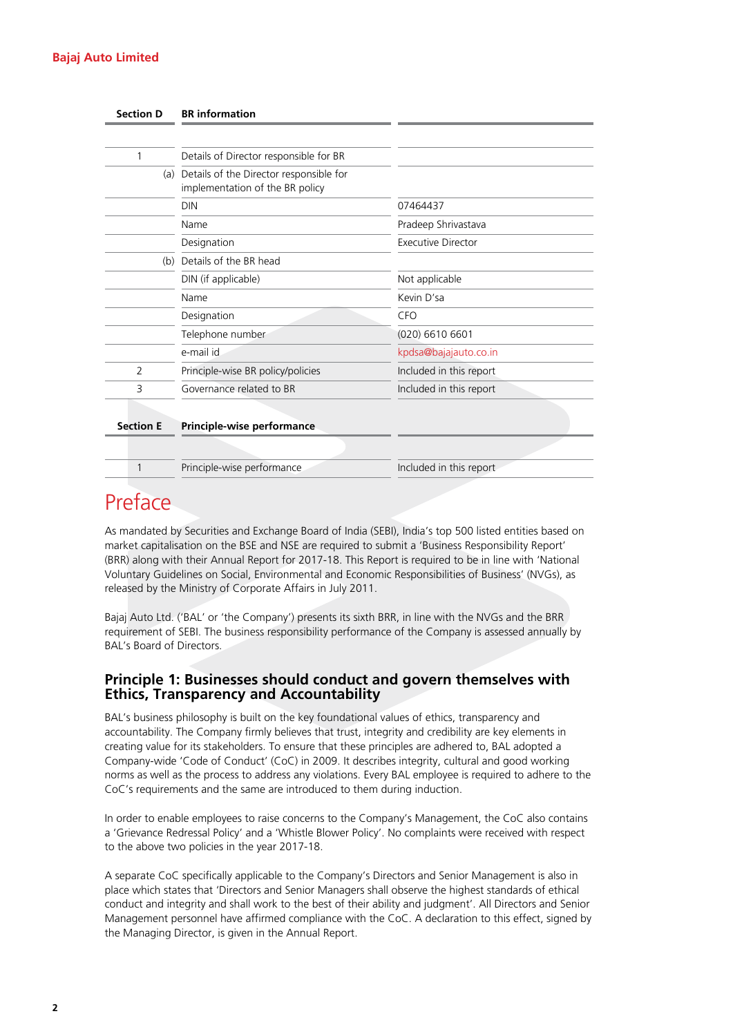#### **Bajaj Auto Limited**

| <b>Section D</b> | <b>BR</b> information                                                          |                           |
|------------------|--------------------------------------------------------------------------------|---------------------------|
|                  |                                                                                |                           |
| 1                | Details of Director responsible for BR                                         |                           |
|                  | (a) Details of the Director responsible for<br>implementation of the BR policy |                           |
|                  | <b>DIN</b>                                                                     | 07464437                  |
|                  | Name                                                                           | Pradeep Shrivastava       |
|                  | Designation                                                                    | <b>Executive Director</b> |
| (b)              | Details of the BR head                                                         |                           |
|                  | DIN (if applicable)                                                            | Not applicable            |
|                  | Name                                                                           | Kevin D'sa                |
|                  | Designation                                                                    | <b>CFO</b>                |
|                  | Telephone number                                                               | $(020)$ 6610 6601         |
|                  | e-mail id                                                                      | kpdsa@bajajauto.co.in     |
| $\overline{2}$   | Principle-wise BR policy/policies                                              | Included in this report   |
| 3                | Governance related to BR                                                       | Included in this report   |
|                  |                                                                                |                           |
| <b>Section E</b> | Principle-wise performance                                                     |                           |
|                  |                                                                                |                           |
| 1                | Principle-wise performance                                                     | Included in this report   |

## Preface

As mandated by Securities and Exchange Board of India (SEBI), India's top 500 listed entities based on market capitalisation on the BSE and NSE are required to submit a 'Business Responsibility Report' (BRR) along with their Annual Report for 2017-18. This Report is required to be in line with 'National Voluntary Guidelines on Social, Environmental and Economic Responsibilities of Business' (NVGs), as released by the Ministry of Corporate Affairs in July 2011.

Bajaj Auto Ltd. ('BAL' or 'the Company') presents its sixth BRR, in line with the NVGs and the BRR requirement of SEBI. The business responsibility performance of the Company is assessed annually by BAL's Board of Directors.

## **Principle 1: Businesses should conduct and govern themselves with Ethics, Transparency and Accountability**

BAL's business philosophy is built on the key foundational values of ethics, transparency and accountability. The Company firmly believes that trust, integrity and credibility are key elements in creating value for its stakeholders. To ensure that these principles are adhered to, BAL adopted a Company-wide 'Code of Conduct' (CoC) in 2009. It describes integrity, cultural and good working norms as well as the process to address any violations. Every BAL employee is required to adhere to the CoC's requirements and the same are introduced to them during induction.

In order to enable employees to raise concerns to the Company's Management, the CoC also contains a 'Grievance Redressal Policy' and a 'Whistle Blower Policy'. No complaints were received with respect to the above two policies in the year 2017-18.

A separate CoC specifically applicable to the Company's Directors and Senior Management is also in place which states that 'Directors and Senior Managers shall observe the highest standards of ethical conduct and integrity and shall work to the best of their ability and judgment'. All Directors and Senior Management personnel have affirmed compliance with the CoC. A declaration to this effect, signed by the Managing Director, is given in the Annual Report.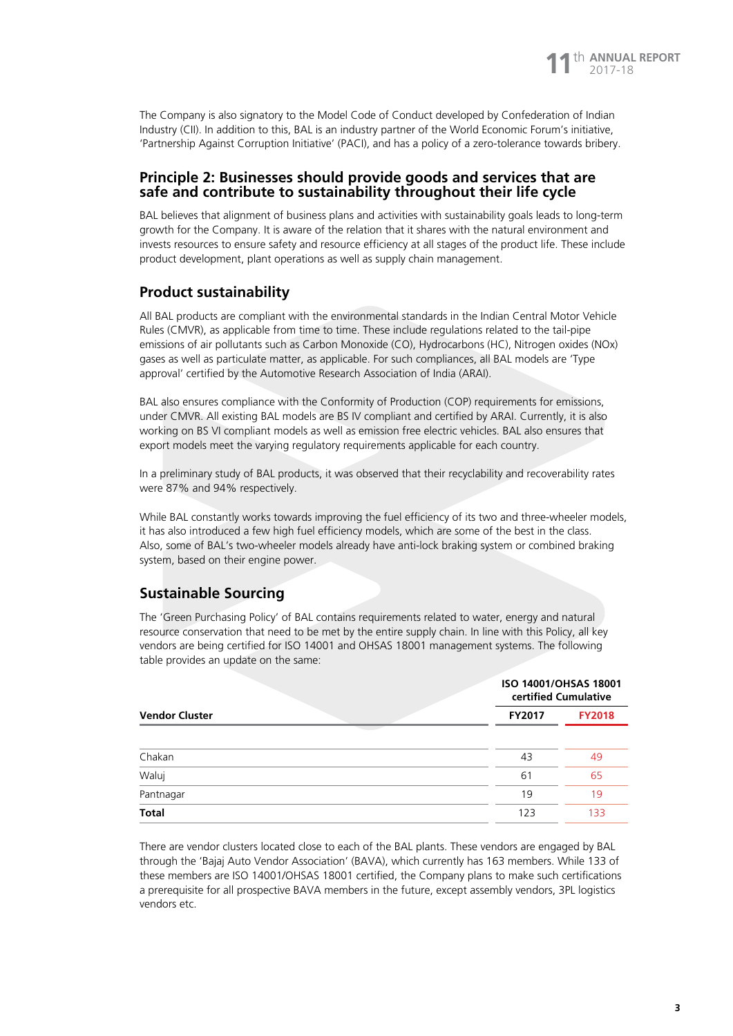

The Company is also signatory to the Model Code of Conduct developed by Confederation of Indian Industry (CII). In addition to this, BAL is an industry partner of the World Economic Forum's initiative, 'Partnership Against Corruption Initiative' (PACI), and has a policy of a zero-tolerance towards bribery.

## **Principle 2: Businesses should provide goods and services that are safe and contribute to sustainability throughout their life cycle**

BAL believes that alignment of business plans and activities with sustainability goals leads to long-term growth for the Company. It is aware of the relation that it shares with the natural environment and invests resources to ensure safety and resource efficiency at all stages of the product life. These include product development, plant operations as well as supply chain management.

## **Product sustainability**

All BAL products are compliant with the environmental standards in the Indian Central Motor Vehicle Rules (CMVR), as applicable from time to time. These include regulations related to the tail-pipe emissions of air pollutants such as Carbon Monoxide (CO), Hydrocarbons (HC), Nitrogen oxides (NOx) gases as well as particulate matter, as applicable. For such compliances, all BAL models are 'Type approval' certified by the Automotive Research Association of India (ARAI).

BAL also ensures compliance with the Conformity of Production (COP) requirements for emissions, under CMVR. All existing BAL models are BS IV compliant and certified by ARAI. Currently, it is also working on BS VI compliant models as well as emission free electric vehicles. BAL also ensures that export models meet the varying regulatory requirements applicable for each country.

In a preliminary study of BAL products, it was observed that their recyclability and recoverability rates were 87% and 94% respectively.

While BAL constantly works towards improving the fuel efficiency of its two and three-wheeler models, it has also introduced a few high fuel efficiency models, which are some of the best in the class. Also, some of BAL's two-wheeler models already have anti-lock braking system or combined braking system, based on their engine power.

## **Sustainable Sourcing**

The 'Green Purchasing Policy' of BAL contains requirements related to water, energy and natural resource conservation that need to be met by the entire supply chain. In line with this Policy, all key vendors are being certified for ISO 14001 and OHSAS 18001 management systems. The following table provides an update on the same:

|                       | ISO 14001/OHSAS 18001<br>certified Cumulative |               |
|-----------------------|-----------------------------------------------|---------------|
| <b>Vendor Cluster</b> | <b>FY2017</b>                                 | <b>FY2018</b> |
| Chakan                | 43                                            | 49            |
| Waluj                 | 61                                            | 65            |
| Pantnagar             | 19                                            | 19            |
| <b>Total</b>          | 123                                           | 133           |

There are vendor clusters located close to each of the BAL plants. These vendors are engaged by BAL through the 'Bajaj Auto Vendor Association' (BAVA), which currently has 163 members. While 133 of these members are ISO 14001/OHSAS 18001 certified, the Company plans to make such certifications a prerequisite for all prospective BAVA members in the future, except assembly vendors, 3PL logistics vendors etc.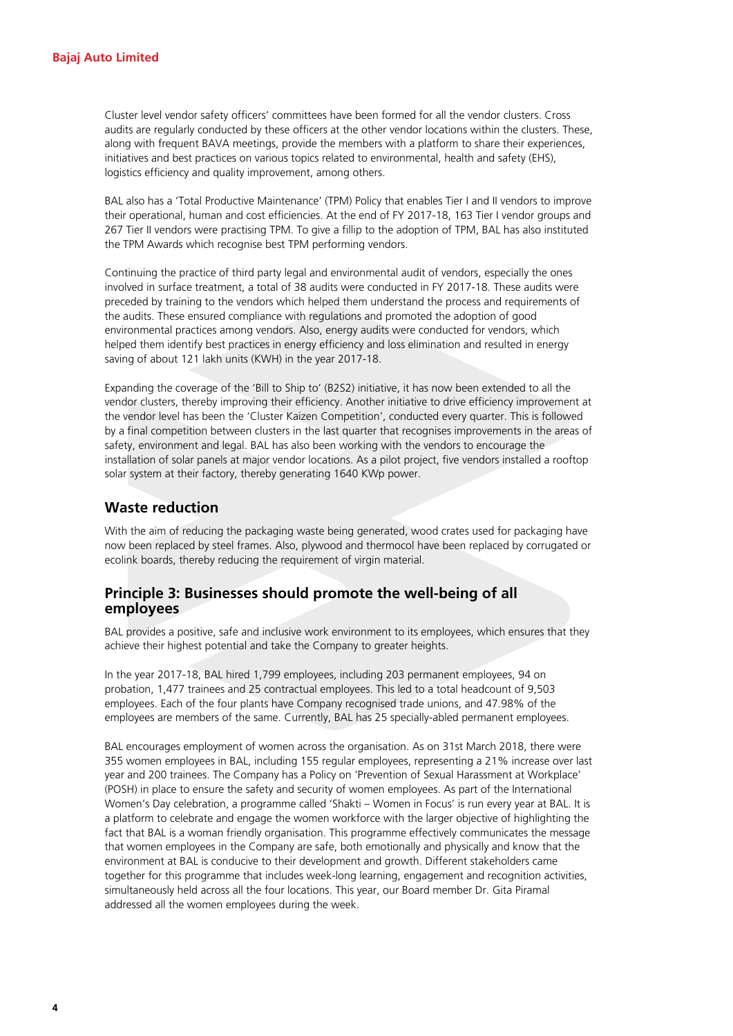Cluster level vendor safety officers' committees have been formed for all the vendor clusters. Cross audits are regularly conducted by these officers at the other vendor locations within the clusters. These, along with frequent BAVA meetings, provide the members with a platform to share their experiences, initiatives and best practices on various topics related to environmental, health and safety (EHS), logistics efficiency and quality improvement, among others.

BAL also has a 'Total Productive Maintenance' (TPM) Policy that enables Tier I and II vendors to improve their operational, human and cost efficiencies. At the end of FY 2017-18, 163 Tier I vendor groups and 267 Tier II vendors were practising TPM. To give a fillip to the adoption of TPM, BAL has also instituted the TPM Awards which recognise best TPM performing vendors.

Continuing the practice of third party legal and environmental audit of vendors, especially the ones involved in surface treatment, a total of 38 audits were conducted in FY 2017-18. These audits were preceded by training to the vendors which helped them understand the process and requirements of the audits. These ensured compliance with regulations and promoted the adoption of good environmental practices among vendors. Also, energy audits were conducted for vendors, which helped them identify best practices in energy efficiency and loss elimination and resulted in energy saving of about 121 lakh units (KWH) in the year 2017-18.

Expanding the coverage of the 'Bill to Ship to' (B2S2) initiative, it has now been extended to all the vendor clusters, thereby improving their efficiency. Another initiative to drive efficiency improvement at the vendor level has been the 'Cluster Kaizen Competition', conducted every quarter. This is followed by a final competition between clusters in the last quarter that recognises improvements in the areas of safety, environment and legal. BAL has also been working with the vendors to encourage the installation of solar panels at major vendor locations. As a pilot project, five vendors installed a rooftop solar system at their factory, thereby generating 1640 KWp power.

## **Waste reduction**

With the aim of reducing the packaging waste being generated, wood crates used for packaging have now been replaced by steel frames. Also, plywood and thermocol have been replaced by corrugated or ecolink boards, thereby reducing the requirement of virgin material.

## **Principle 3: Businesses should promote the well-being of all employees**

BAL provides a positive, safe and inclusive work environment to its employees, which ensures that they achieve their highest potential and take the Company to greater heights.

In the year 2017-18, BAL hired 1,799 employees, including 203 permanent employees, 94 on probation, 1,477 trainees and 25 contractual employees. This led to a total headcount of 9,503 employees. Each of the four plants have Company recognised trade unions, and 47.98% of the employees are members of the same. Currently, BAL has 25 specially-abled permanent employees.

BAL encourages employment of women across the organisation. As on 31st March 2018, there were 355 women employees in BAL, including 155 regular employees, representing a 21% increase over last year and 200 trainees. The Company has a Policy on 'Prevention of Sexual Harassment at Workplace' (POSH) in place to ensure the safety and security of women employees. As part of the International Women's Day celebration, a programme called 'Shakti – Women in Focus' is run every year at BAL. It is a platform to celebrate and engage the women workforce with the larger objective of highlighting the fact that BAL is a woman friendly organisation. This programme effectively communicates the message that women employees in the Company are safe, both emotionally and physically and know that the environment at BAL is conducive to their development and growth. Different stakeholders came together for this programme that includes week-long learning, engagement and recognition activities, simultaneously held across all the four locations. This year, our Board member Dr. Gita Piramal addressed all the women employees during the week.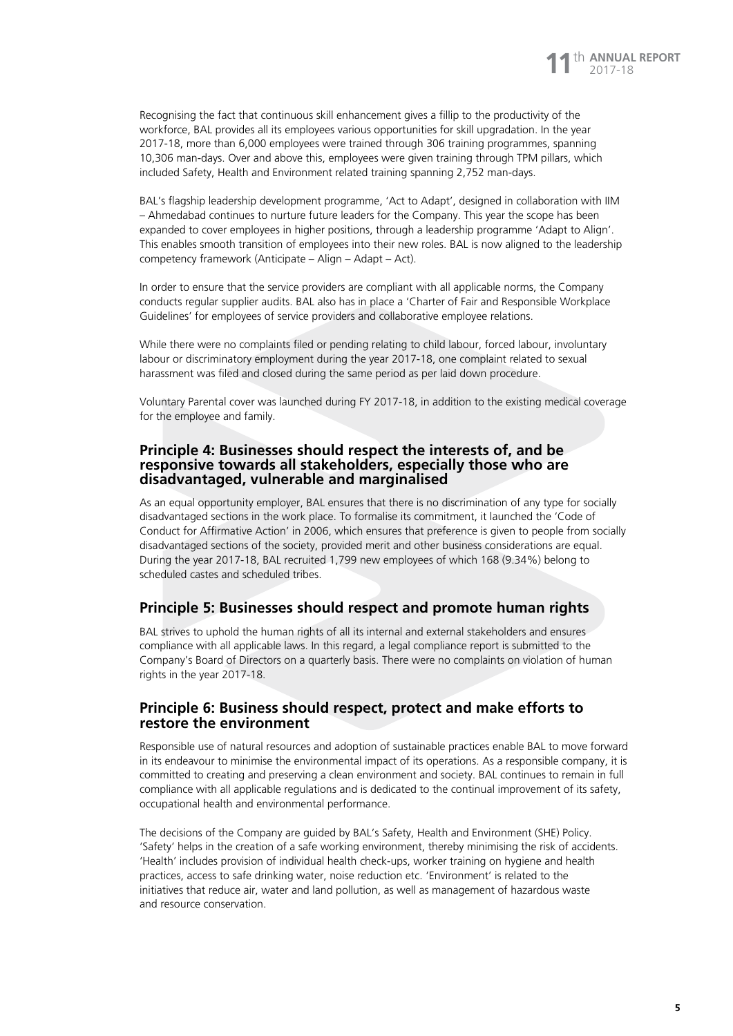Recognising the fact that continuous skill enhancement gives a fillip to the productivity of the workforce, BAL provides all its employees various opportunities for skill upgradation. In the year 2017-18, more than 6,000 employees were trained through 306 training programmes, spanning 10,306 man-days. Over and above this, employees were given training through TPM pillars, which included Safety, Health and Environment related training spanning 2,752 man-days.

BAL's flagship leadership development programme, 'Act to Adapt', designed in collaboration with IIM – Ahmedabad continues to nurture future leaders for the Company. This year the scope has been expanded to cover employees in higher positions, through a leadership programme 'Adapt to Align'. This enables smooth transition of employees into their new roles. BAL is now aligned to the leadership competency framework (Anticipate – Align – Adapt – Act).

In order to ensure that the service providers are compliant with all applicable norms, the Company conducts regular supplier audits. BAL also has in place a 'Charter of Fair and Responsible Workplace Guidelines' for employees of service providers and collaborative employee relations.

While there were no complaints filed or pending relating to child labour, forced labour, involuntary labour or discriminatory employment during the year 2017-18, one complaint related to sexual harassment was filed and closed during the same period as per laid down procedure.

Voluntary Parental cover was launched during FY 2017-18, in addition to the existing medical coverage for the employee and family.

#### **Principle 4: Businesses should respect the interests of, and be responsive towards all stakeholders, especially those who are disadvantaged, vulnerable and marginalised**

As an equal opportunity employer, BAL ensures that there is no discrimination of any type for socially disadvantaged sections in the work place. To formalise its commitment, it launched the 'Code of Conduct for Affirmative Action' in 2006, which ensures that preference is given to people from socially disadvantaged sections of the society, provided merit and other business considerations are equal. During the year 2017-18, BAL recruited 1,799 new employees of which 168 (9.34%) belong to scheduled castes and scheduled tribes.

#### **Principle 5: Businesses should respect and promote human rights**

BAL strives to uphold the human rights of all its internal and external stakeholders and ensures compliance with all applicable laws. In this regard, a legal compliance report is submitted to the Company's Board of Directors on a quarterly basis. There were no complaints on violation of human rights in the year 2017-18.

### **Principle 6: Business should respect, protect and make efforts to restore the environment**

Responsible use of natural resources and adoption of sustainable practices enable BAL to move forward in its endeavour to minimise the environmental impact of its operations. As a responsible company, it is committed to creating and preserving a clean environment and society. BAL continues to remain in full compliance with all applicable regulations and is dedicated to the continual improvement of its safety, occupational health and environmental performance.

The decisions of the Company are guided by BAL's Safety, Health and Environment (SHE) Policy. 'Safety' helps in the creation of a safe working environment, thereby minimising the risk of accidents. 'Health' includes provision of individual health check-ups, worker training on hygiene and health practices, access to safe drinking water, noise reduction etc. 'Environment' is related to the initiatives that reduce air, water and land pollution, as well as management of hazardous waste and resource conservation.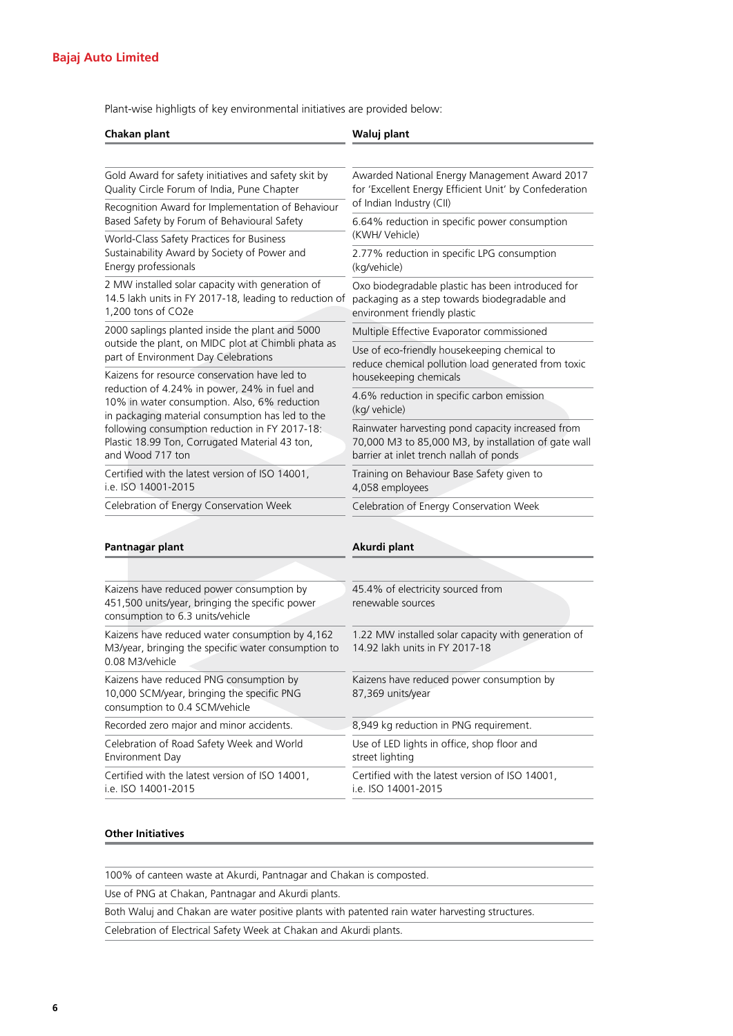Plant-wise highligts of key environmental initiatives are provided below:

| Chakan plant                                                                                                                                     | Waluj plant                                                                                                                                          |  |
|--------------------------------------------------------------------------------------------------------------------------------------------------|------------------------------------------------------------------------------------------------------------------------------------------------------|--|
| Gold Award for safety initiatives and safety skit by                                                                                             | Awarded National Energy Management Award 2017                                                                                                        |  |
| Quality Circle Forum of India, Pune Chapter                                                                                                      | for 'Excellent Energy Efficient Unit' by Confederation<br>of Indian Industry (CII)                                                                   |  |
| Recognition Award for Implementation of Behaviour<br>Based Safety by Forum of Behavioural Safety                                                 | 6.64% reduction in specific power consumption                                                                                                        |  |
| World-Class Safety Practices for Business                                                                                                        | (KWH/ Vehicle)                                                                                                                                       |  |
| Sustainability Award by Society of Power and<br>Energy professionals                                                                             | 2.77% reduction in specific LPG consumption<br>(kg/vehicle)                                                                                          |  |
| 2 MW installed solar capacity with generation of<br>14.5 lakh units in FY 2017-18, leading to reduction of<br>1.200 tons of CO2e                 | Oxo biodegradable plastic has been introduced for<br>packaging as a step towards biodegradable and<br>environment friendly plastic                   |  |
| 2000 saplings planted inside the plant and 5000<br>outside the plant, on MIDC plot at Chimbli phata as                                           | Multiple Effective Evaporator commissioned                                                                                                           |  |
| part of Environment Day Celebrations<br>Kaizens for resource conservation have led to                                                            | Use of eco-friendly housekeeping chemical to<br>reduce chemical pollution load generated from toxic<br>housekeeping chemicals                        |  |
| reduction of 4.24% in power, 24% in fuel and<br>10% in water consumption. Also, 6% reduction<br>in packaging material consumption has led to the | 4.6% reduction in specific carbon emission<br>(kg/ vehicle)                                                                                          |  |
| following consumption reduction in FY 2017-18:<br>Plastic 18.99 Ton, Corrugated Material 43 ton,<br>and Wood 717 ton                             | Rainwater harvesting pond capacity increased from<br>70,000 M3 to 85,000 M3, by installation of gate wall<br>barrier at inlet trench nallah of ponds |  |
| Certified with the latest version of ISO 14001,<br>i.e. ISO 14001-2015                                                                           | Training on Behaviour Base Safety given to<br>4,058 employees                                                                                        |  |
| Celebration of Energy Conservation Week                                                                                                          | Celebration of Energy Conservation Week                                                                                                              |  |
|                                                                                                                                                  |                                                                                                                                                      |  |
| Pantnagar plant                                                                                                                                  | Akurdi plant                                                                                                                                         |  |
|                                                                                                                                                  |                                                                                                                                                      |  |
| Kaizens have reduced power consumption by<br>451,500 units/year, bringing the specific power<br>consumption to 6.3 units/vehicle                 | 45.4% of electricity sourced from<br>renewable sources                                                                                               |  |
| Kaizens have reduced water consumption by 4,162<br>M3/year, bringing the specific water consumption to<br>0.08 M3/vehicle                        | 1.22 MW installed solar capacity with generation of<br>14.92 lakh units in FY 2017-18                                                                |  |
| Kaizens have reduced PNG consumption by<br>10,000 SCM/year, bringing the specific PNG<br>consumption to 0.4 SCM/vehicle                          | Kaizens have reduced power consumption by<br>87,369 units/year                                                                                       |  |
| Recorded zero major and minor accidents.                                                                                                         | 8,949 kg reduction in PNG requirement.                                                                                                               |  |
| Celebration of Road Safety Week and World<br>Environment Day                                                                                     | Use of LED lights in office, shop floor and<br>street lighting                                                                                       |  |
| Certified with the latest version of ISO 14001,<br>i.e. ISO 14001-2015                                                                           | Certified with the latest version of ISO 14001,<br>i.e. ISO 14001-2015                                                                               |  |

#### **Other Initiatives**

100% of canteen waste at Akurdi, Pantnagar and Chakan is composted.

Use of PNG at Chakan, Pantnagar and Akurdi plants.

Both Waluj and Chakan are water positive plants with patented rain water harvesting structures.

Celebration of Electrical Safety Week at Chakan and Akurdi plants.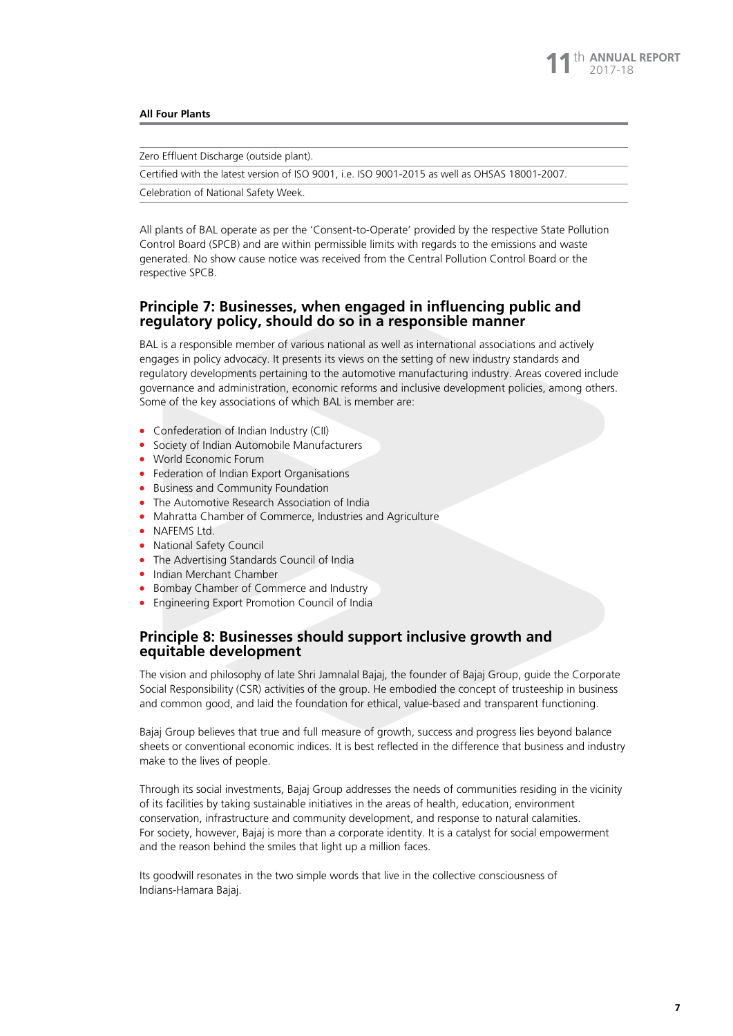#### **All Four Plants**

Zero Effluent Discharge (outside plant).

Certified with the latest version of ISO 9001, i.e. ISO 9001-2015 as well as OHSAS 18001-2007.

Celebration of National Safety Week.

All plants of BAL operate as per the 'Consent-to-Operate' provided by the respective State Pollution Control Board (SPCB) and are within permissible limits with regards to the emissions and waste generated. No show cause notice was received from the Central Pollution Control Board or the respective SPCB.

#### **Principle 7: Businesses, when engaged in influencing public and regulatory policy, should do so in a responsible manner**

BAL is a responsible member of various national as well as international associations and actively engages in policy advocacy. It presents its views on the setting of new industry standards and regulatory developments pertaining to the automotive manufacturing industry. Areas covered include governance and administration, economic reforms and inclusive development policies, among others. Some of the key associations of which BAL is member are:

- **•** Confederation of Indian Industry (CII)
- Society of Indian Automobile Manufacturers
- World Economic Forum
- Federation of Indian Export Organisations
- **Business and Community Foundation**
- The Automotive Research Association of India
- Mahratta Chamber of Commerce, Industries and Agriculture
- NAFEMS Ltd.
- National Safety Council
- The Advertising Standards Council of India
- Indian Merchant Chamber
- **Bombay Chamber of Commerce and Industry**
- **•** Engineering Export Promotion Council of India

#### **Principle 8: Businesses should support inclusive growth and equitable development**

The vision and philosophy of late Shri Jamnalal Bajaj, the founder of Bajaj Group, guide the Corporate Social Responsibility (CSR) activities of the group. He embodied the concept of trusteeship in business and common good, and laid the foundation for ethical, value-based and transparent functioning.

Bajaj Group believes that true and full measure of growth, success and progress lies beyond balance sheets or conventional economic indices. It is best reflected in the difference that business and industry make to the lives of people.

Through its social investments, Bajaj Group addresses the needs of communities residing in the vicinity of its facilities by taking sustainable initiatives in the areas of health, education, environment conservation, infrastructure and community development, and response to natural calamities. For society, however, Bajaj is more than a corporate identity. It is a catalyst for social empowerment and the reason behind the smiles that light up a million faces.

Its goodwill resonates in the two simple words that live in the collective consciousness of Indians-Hamara Bajaj.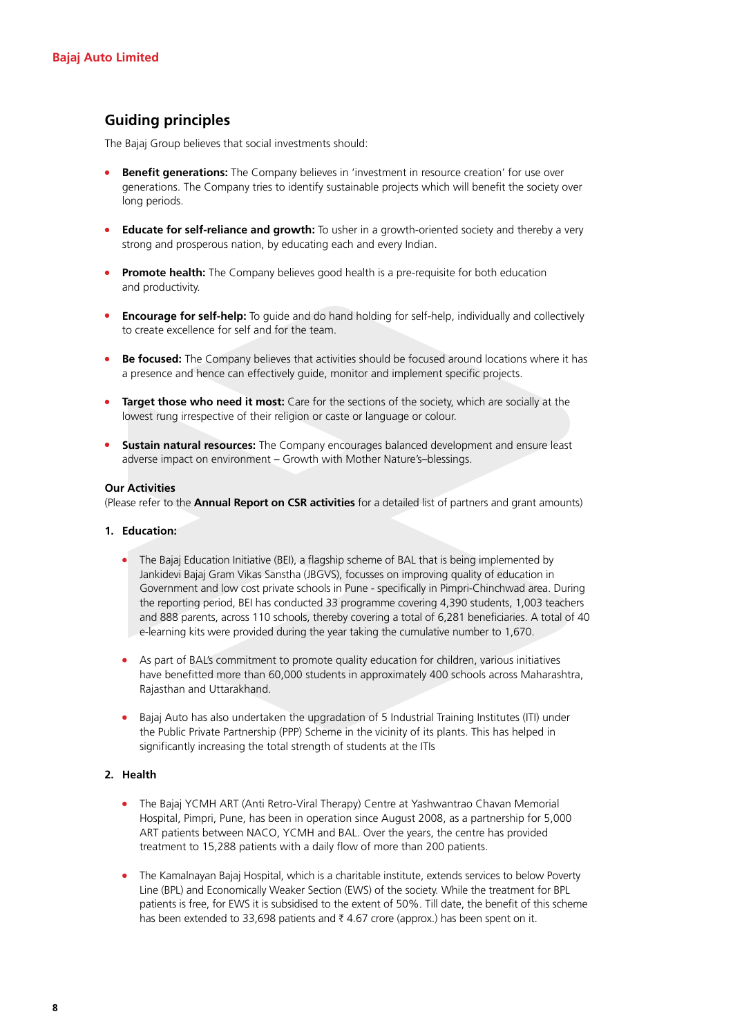## **Guiding principles**

The Bajaj Group believes that social investments should:

- **Benefit generations:** The Company believes in 'investment in resource creation' for use over generations. The Company tries to identify sustainable projects which will benefit the society over long periods.
- **Educate for self-reliance and growth:** To usher in a growth-oriented society and thereby a very strong and prosperous nation, by educating each and every Indian.
- **Promote health:** The Company believes good health is a pre-requisite for both education and productivity.
- **Encourage for self-help:** To guide and do hand holding for self-help, individually and collectively to create excellence for self and for the team.
- **Be focused:** The Company believes that activities should be focused around locations where it has a presence and hence can effectively guide, monitor and implement specific projects.
- **Target those who need it most:** Care for the sections of the society, which are socially at the lowest rung irrespective of their religion or caste or language or colour.
- **Sustain natural resources:** The Company encourages balanced development and ensure least adverse impact on environment – Growth with Mother Nature's–blessings.

#### **Our Activities**

(Please refer to the **Annual Report on CSR activities** for a detailed list of partners and grant amounts)

#### **1. Education:**

- The Bajaj Education Initiative (BEI), a flagship scheme of BAL that is being implemented by Jankidevi Bajaj Gram Vikas Sanstha (JBGVS), focusses on improving quality of education in Government and low cost private schools in Pune - specifically in Pimpri-Chinchwad area. During the reporting period, BEI has conducted 33 programme covering 4,390 students, 1,003 teachers and 888 parents, across 110 schools, thereby covering a total of 6,281 beneficiaries. A total of 40 e-learning kits were provided during the year taking the cumulative number to 1,670.
- As part of BAL's commitment to promote quality education for children, various initiatives have benefitted more than 60,000 students in approximately 400 schools across Maharashtra, Rajasthan and Uttarakhand.
- **•** Bajaj Auto has also undertaken the upgradation of 5 Industrial Training Institutes (ITI) under the Public Private Partnership (PPP) Scheme in the vicinity of its plants. This has helped in significantly increasing the total strength of students at the ITIs

#### **2. Health**

- The Bajaj YCMH ART (Anti Retro-Viral Therapy) Centre at Yashwantrao Chavan Memorial Hospital, Pimpri, Pune, has been in operation since August 2008, as a partnership for 5,000 ART patients between NACO, YCMH and BAL. Over the years, the centre has provided treatment to 15,288 patients with a daily flow of more than 200 patients.
- The Kamalnayan Bajaj Hospital, which is a charitable institute, extends services to below Poverty Line (BPL) and Economically Weaker Section (EWS) of the society. While the treatment for BPL patients is free, for EWS it is subsidised to the extent of 50%. Till date, the benefit of this scheme has been extended to 33,698 patients and  $\bar{\tau}$  4.67 crore (approx.) has been spent on it.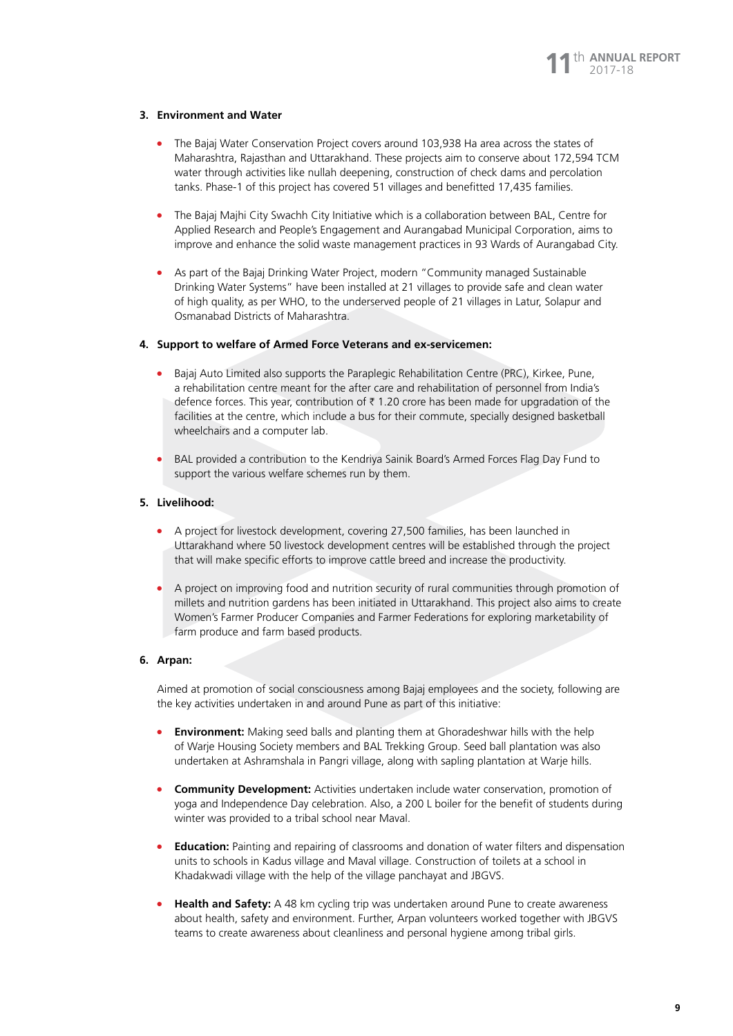#### **3. Environment and Water**

- The Bajaj Water Conservation Project covers around 103,938 Ha area across the states of Maharashtra, Rajasthan and Uttarakhand. These projects aim to conserve about 172,594 TCM water through activities like nullah deepening, construction of check dams and percolation tanks. Phase-1 of this project has covered 51 villages and benefitted 17,435 families.
- <sup>l</sup> The Bajaj Majhi City Swachh City Initiative which is a collaboration between BAL, Centre for Applied Research and People's Engagement and Aurangabad Municipal Corporation, aims to improve and enhance the solid waste management practices in 93 Wards of Aurangabad City.
- <sup>l</sup> As part of the Bajaj Drinking Water Project, modern "Community managed Sustainable Drinking Water Systems" have been installed at 21 villages to provide safe and clean water of high quality, as per WHO, to the underserved people of 21 villages in Latur, Solapur and Osmanabad Districts of Maharashtra.

#### **4. Support to welfare of Armed Force Veterans and ex-servicemen:**

- <sup>l</sup> Bajaj Auto Limited also supports the Paraplegic Rehabilitation Centre (PRC), Kirkee, Pune, a rehabilitation centre meant for the after care and rehabilitation of personnel from India's defence forces. This year, contribution of  $\bar{\tau}$  1.20 crore has been made for upgradation of the facilities at the centre, which include a bus for their commute, specially designed basketball wheelchairs and a computer lab.
- <sup>l</sup> BAL provided a contribution to the Kendriya Sainik Board's Armed Forces Flag Day Fund to support the various welfare schemes run by them.

#### **5. Livelihood:**

- <sup>l</sup> A project for livestock development, covering 27,500 families, has been launched in Uttarakhand where 50 livestock development centres will be established through the project that will make specific efforts to improve cattle breed and increase the productivity.
- A project on improving food and nutrition security of rural communities through promotion of millets and nutrition gardens has been initiated in Uttarakhand. This project also aims to create Women's Farmer Producer Companies and Farmer Federations for exploring marketability of farm produce and farm based products.

#### **6. Arpan:**

Aimed at promotion of social consciousness among Bajaj employees and the society, following are the key activities undertaken in and around Pune as part of this initiative:

- **Environment:** Making seed balls and planting them at Ghoradeshwar hills with the help of Warje Housing Society members and BAL Trekking Group. Seed ball plantation was also undertaken at Ashramshala in Pangri village, along with sapling plantation at Warje hills.
- **Community Development:** Activities undertaken include water conservation, promotion of yoga and Independence Day celebration. Also, a 200 L boiler for the benefit of students during winter was provided to a tribal school near Maval.
- **Education:** Painting and repairing of classrooms and donation of water filters and dispensation units to schools in Kadus village and Maval village. Construction of toilets at a school in Khadakwadi village with the help of the village panchayat and JBGVS.
- **Health and Safety:** A 48 km cycling trip was undertaken around Pune to create awareness about health, safety and environment. Further, Arpan volunteers worked together with JBGVS teams to create awareness about cleanliness and personal hygiene among tribal girls.